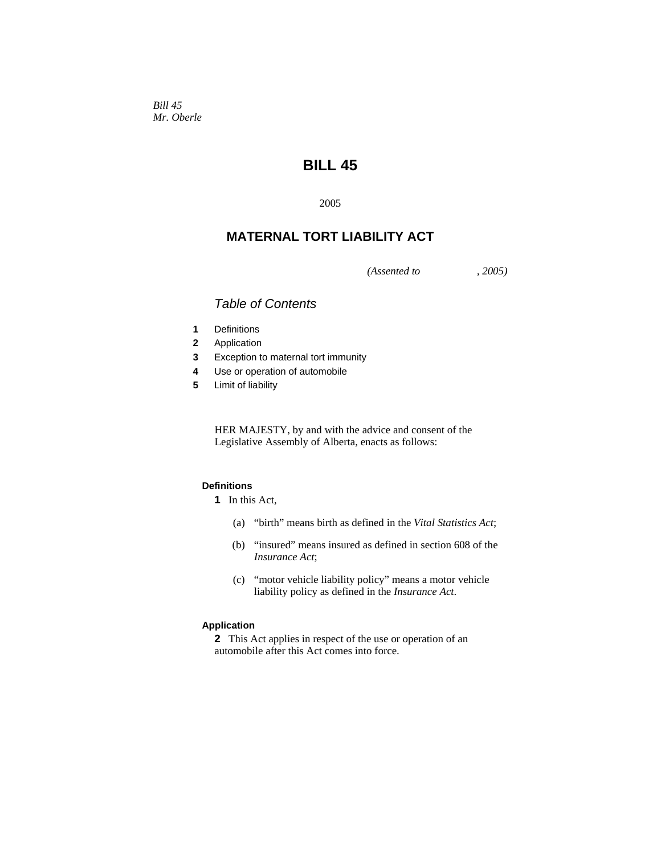*Bill 45 Mr. Oberle* 

# **BILL 45**

2005

# **MATERNAL TORT LIABILITY ACT**

*(Assented to , 2005)* 

## *Table of Contents*

- **1** Definitions
- **2** Application
- **3** Exception to maternal tort immunity
- **4** Use or operation of automobile
- **5** Limit of liability

HER MAJESTY, by and with the advice and consent of the Legislative Assembly of Alberta, enacts as follows:

### **Definitions**

- **1** In this Act,
	- (a) "birth" means birth as defined in the *Vital Statistics Act*;
	- (b) "insured" means insured as defined in section 608 of the *Insurance Act*;
	- (c) "motor vehicle liability policy" means a motor vehicle liability policy as defined in the *Insurance Act*.

#### **Application**

**2** This Act applies in respect of the use or operation of an automobile after this Act comes into force.